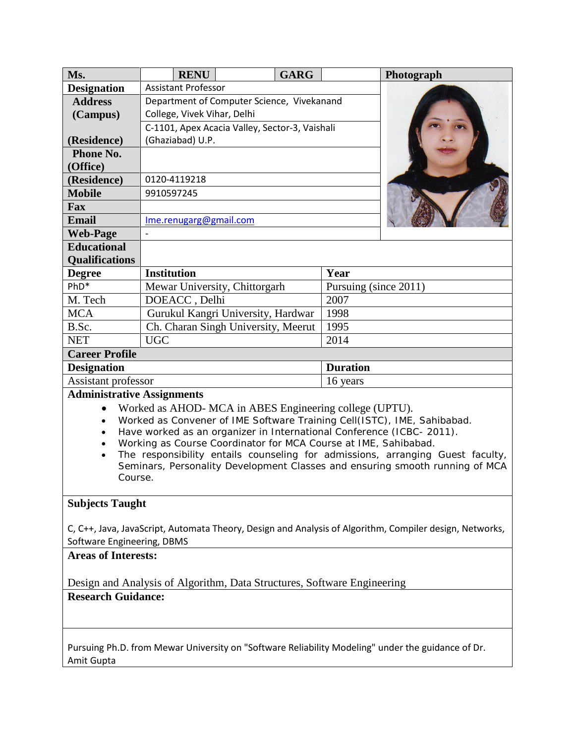| Ms.                                                                                                                                                                                                                                                                                                                                                                                                                                                                                                                         | <b>RENU</b>                                    | <b>GARG</b> | Photograph            |
|-----------------------------------------------------------------------------------------------------------------------------------------------------------------------------------------------------------------------------------------------------------------------------------------------------------------------------------------------------------------------------------------------------------------------------------------------------------------------------------------------------------------------------|------------------------------------------------|-------------|-----------------------|
| <b>Designation</b>                                                                                                                                                                                                                                                                                                                                                                                                                                                                                                          | <b>Assistant Professor</b>                     |             |                       |
| <b>Address</b>                                                                                                                                                                                                                                                                                                                                                                                                                                                                                                              | Department of Computer Science, Vivekanand     |             |                       |
| (Campus)                                                                                                                                                                                                                                                                                                                                                                                                                                                                                                                    | College, Vivek Vihar, Delhi                    |             |                       |
|                                                                                                                                                                                                                                                                                                                                                                                                                                                                                                                             | C-1101, Apex Acacia Valley, Sector-3, Vaishali |             |                       |
| (Residence)                                                                                                                                                                                                                                                                                                                                                                                                                                                                                                                 | (Ghaziabad) U.P.                               |             |                       |
| <b>Phone No.</b>                                                                                                                                                                                                                                                                                                                                                                                                                                                                                                            |                                                |             |                       |
| (Office)                                                                                                                                                                                                                                                                                                                                                                                                                                                                                                                    |                                                |             |                       |
| (Residence)                                                                                                                                                                                                                                                                                                                                                                                                                                                                                                                 | 0120-4119218                                   |             |                       |
| <b>Mobile</b>                                                                                                                                                                                                                                                                                                                                                                                                                                                                                                               | 9910597245                                     |             |                       |
| <b>Fax</b>                                                                                                                                                                                                                                                                                                                                                                                                                                                                                                                  |                                                |             |                       |
| <b>Email</b>                                                                                                                                                                                                                                                                                                                                                                                                                                                                                                                | Ime.renugarg@gmail.com                         |             |                       |
| <b>Web-Page</b>                                                                                                                                                                                                                                                                                                                                                                                                                                                                                                             |                                                |             |                       |
| <b>Educational</b>                                                                                                                                                                                                                                                                                                                                                                                                                                                                                                          |                                                |             |                       |
| <b>Qualifications</b>                                                                                                                                                                                                                                                                                                                                                                                                                                                                                                       |                                                |             |                       |
| <b>Degree</b>                                                                                                                                                                                                                                                                                                                                                                                                                                                                                                               | <b>Institution</b>                             |             | Year                  |
| $PhD*$                                                                                                                                                                                                                                                                                                                                                                                                                                                                                                                      | Mewar University, Chittorgarh                  |             | Pursuing (since 2011) |
| M. Tech                                                                                                                                                                                                                                                                                                                                                                                                                                                                                                                     | DOEACC, Delhi                                  |             | 2007                  |
| <b>MCA</b>                                                                                                                                                                                                                                                                                                                                                                                                                                                                                                                  | Gurukul Kangri University, Hardwar             |             | 1998                  |
| B.Sc.                                                                                                                                                                                                                                                                                                                                                                                                                                                                                                                       | Ch. Charan Singh University, Meerut            |             | 1995                  |
| <b>NET</b>                                                                                                                                                                                                                                                                                                                                                                                                                                                                                                                  | <b>UGC</b>                                     |             | 2014                  |
| <b>Career Profile</b>                                                                                                                                                                                                                                                                                                                                                                                                                                                                                                       |                                                |             |                       |
| <b>Designation</b>                                                                                                                                                                                                                                                                                                                                                                                                                                                                                                          |                                                |             | <b>Duration</b>       |
| Assistant professor                                                                                                                                                                                                                                                                                                                                                                                                                                                                                                         |                                                |             | 16 years              |
| <b>Administrative Assignments</b>                                                                                                                                                                                                                                                                                                                                                                                                                                                                                           |                                                |             |                       |
| Worked as AHOD- MCA in ABES Engineering college (UPTU).<br>$\bullet$<br>Worked as Convener of IME Software Training Cell(ISTC), IME, Sahibabad.<br>$\bullet$<br>Have worked as an organizer in International Conference (ICBC-2011).<br>$\bullet$<br>Working as Course Coordinator for MCA Course at IME, Sahibabad.<br>$\bullet$<br>The responsibility entails counseling for admissions, arranging Guest faculty,<br>$\bullet$<br>Seminars, Personality Development Classes and ensuring smooth running of MCA<br>Course. |                                                |             |                       |
| <b>Subjects Taught</b><br>C, C++, Java, JavaScript, Automata Theory, Design and Analysis of Algorithm, Compiler design, Networks,<br>Software Engineering, DBMS                                                                                                                                                                                                                                                                                                                                                             |                                                |             |                       |
| <b>Areas of Interests:</b><br>Design and Analysis of Algorithm, Data Structures, Software Engineering                                                                                                                                                                                                                                                                                                                                                                                                                       |                                                |             |                       |
| <b>Research Guidance:</b>                                                                                                                                                                                                                                                                                                                                                                                                                                                                                                   |                                                |             |                       |
| Pursuing Ph.D. from Mewar University on "Software Reliability Modeling" under the guidance of Dr.<br>Amit Gupta                                                                                                                                                                                                                                                                                                                                                                                                             |                                                |             |                       |